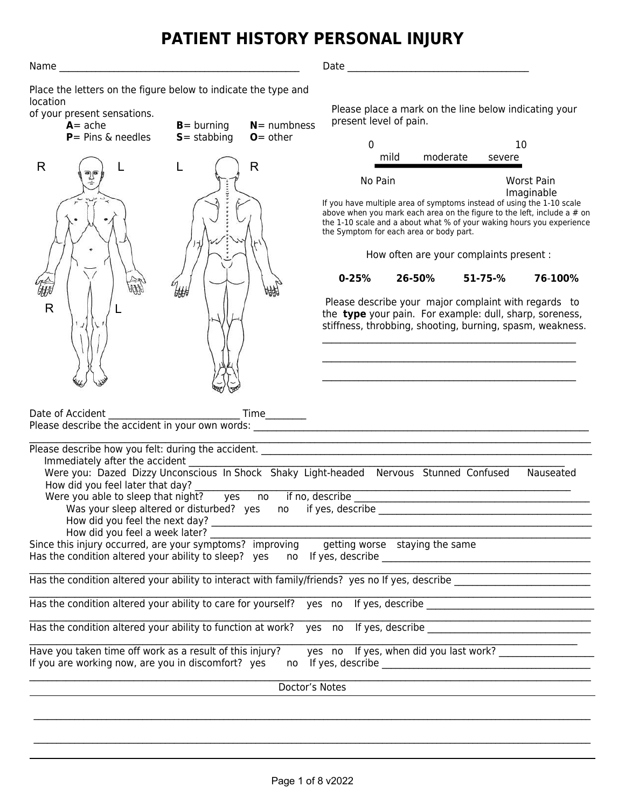# **PATIENT HISTORY PERSONAL INJURY**

Name \_\_\_\_\_\_\_\_\_\_\_\_\_\_\_\_\_\_\_\_\_\_\_\_\_\_\_\_\_\_\_\_\_\_\_\_\_\_\_\_\_\_\_\_\_\_\_\_\_\_\_\_\_ Date \_\_\_\_\_\_\_\_\_\_\_\_\_\_\_\_\_\_\_\_\_\_\_\_\_\_\_\_\_\_\_\_\_\_\_\_\_\_\_\_

Place the letters on the figure below to indicate the type and location

of your present sensations.

| $A = ache$                                                                                                                                                                                                                                                                                                                                                                                                                                                         | $B =$ burning  | $N =$ numbness | present level of pain.                                                                                                                                                       |        |                                         |               |                                                                                                                                                                  |
|--------------------------------------------------------------------------------------------------------------------------------------------------------------------------------------------------------------------------------------------------------------------------------------------------------------------------------------------------------------------------------------------------------------------------------------------------------------------|----------------|----------------|------------------------------------------------------------------------------------------------------------------------------------------------------------------------------|--------|-----------------------------------------|---------------|------------------------------------------------------------------------------------------------------------------------------------------------------------------|
| $P =$ Pins & needles                                                                                                                                                                                                                                                                                                                                                                                                                                               | $S =$ stabbing | $O =$ other    | $\Omega$                                                                                                                                                                     |        |                                         | 10            |                                                                                                                                                                  |
| R                                                                                                                                                                                                                                                                                                                                                                                                                                                                  |                | R              | No Pain                                                                                                                                                                      | mild   | moderate                                | severe        | Worst Pain                                                                                                                                                       |
|                                                                                                                                                                                                                                                                                                                                                                                                                                                                    |                |                | If you have multiple area of symptoms instead of using the 1-10 scale<br>the Symptom for each area or body part.                                                             |        | How often are your complaints present : |               | Imaginable<br>above when you mark each area on the figure to the left, include a $#$ on<br>the 1-10 scale and a about what % of your waking hours you experience |
|                                                                                                                                                                                                                                                                                                                                                                                                                                                                    |                |                | $0 - 25%$                                                                                                                                                                    | 26-50% |                                         | $51 - 75 - %$ | 76-100%                                                                                                                                                          |
| $\mathsf{R}$                                                                                                                                                                                                                                                                                                                                                                                                                                                       |                |                | Please describe your major complaint with regards to<br>the type your pain. For example: dull, sharp, soreness,<br>stiffness, throbbing, shooting, burning, spasm, weakness. |        |                                         |               |                                                                                                                                                                  |
|                                                                                                                                                                                                                                                                                                                                                                                                                                                                    |                |                |                                                                                                                                                                              |        |                                         |               |                                                                                                                                                                  |
| Please describe how you felt: during the accident.<br>Immediately after the accident<br>Were you: Dazed Dizzy Unconscious In Shock Shaky Light-headed Nervous Stunned Confused<br>How did you feel later that day?<br>Were you able to sleep that night? yes<br>How did you feel a week later?<br>Since this injury occurred, are your symptoms? improving<br>Has the condition altered your ability to sleep? yes no If yes, describe ___________________________ |                |                | getting worse staying the same                                                                                                                                               |        |                                         |               | Nauseated                                                                                                                                                        |

Has the condition altered your ability to interact with family/friends? yes no If yes, describe

 $\mathcal{L}_\text{max} = \mathcal{L}_\text{max} = \mathcal{L}_\text{max} = \mathcal{L}_\text{max} = \mathcal{L}_\text{max} = \mathcal{L}_\text{max} = \mathcal{L}_\text{max} = \mathcal{L}_\text{max} = \mathcal{L}_\text{max} = \mathcal{L}_\text{max} = \mathcal{L}_\text{max} = \mathcal{L}_\text{max} = \mathcal{L}_\text{max} = \mathcal{L}_\text{max} = \mathcal{L}_\text{max} = \mathcal{L}_\text{max} = \mathcal{L}_\text{max} = \mathcal{L}_\text{max} = \mathcal{$ Has the condition altered your ability to care for yourself? yes no If yes, describe

 $\mathcal{L}_\mathcal{L} = \{ \mathcal{L}_\mathcal{L} = \{ \mathcal{L}_\mathcal{L} = \{ \mathcal{L}_\mathcal{L} = \{ \mathcal{L}_\mathcal{L} = \{ \mathcal{L}_\mathcal{L} = \{ \mathcal{L}_\mathcal{L} = \{ \mathcal{L}_\mathcal{L} = \{ \mathcal{L}_\mathcal{L} = \{ \mathcal{L}_\mathcal{L} = \{ \mathcal{L}_\mathcal{L} = \{ \mathcal{L}_\mathcal{L} = \{ \mathcal{L}_\mathcal{L} = \{ \mathcal{L}_\mathcal{L} = \{ \mathcal{L}_\mathcal{$ Has the condition altered your ability to function at work? yes no If yes, describe

| Have you taken time off work as a result of this injury? | yes no If yes, when did you last work? |
|----------------------------------------------------------|----------------------------------------|
| If you are working now, are you in discomfort? yes       | no If yes, describe                    |
|                                                          |                                        |

Doctor's Notes

Please place a mark on the line below indicating your sent level of pain.

|      |          | 10     |
|------|----------|--------|
| mild | moderate | severe |
|      |          |        |

#### **0-25% 26-50% 51-75-% 76**-**100%**

Page 1 of 8 v2022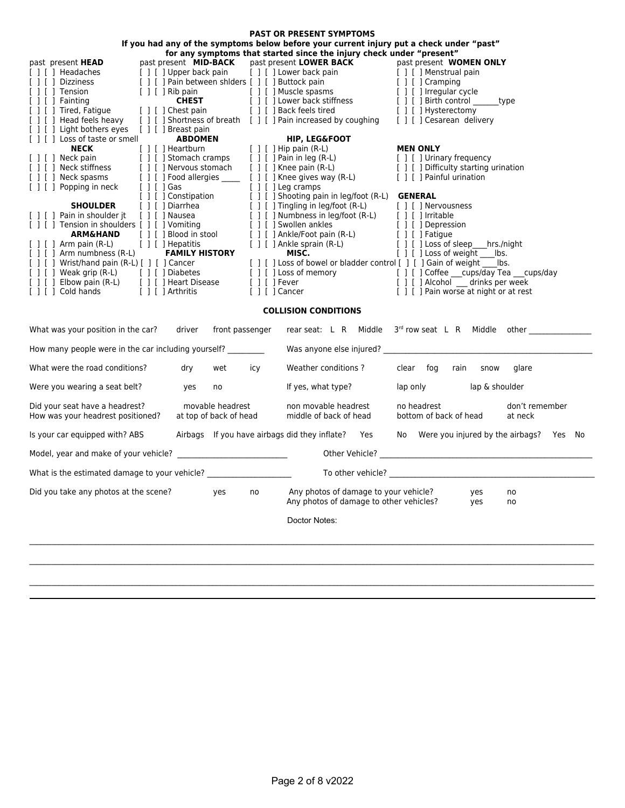| <b>PAST OR PRESENT SYMPTOMS</b>                                                                                                                                                                                                                                                                                |                                            |                                                                                          |                                                                                                                                                                                            |  |  |  |  |  |
|----------------------------------------------------------------------------------------------------------------------------------------------------------------------------------------------------------------------------------------------------------------------------------------------------------------|--------------------------------------------|------------------------------------------------------------------------------------------|--------------------------------------------------------------------------------------------------------------------------------------------------------------------------------------------|--|--|--|--|--|
| If you had any of the symptoms below before your current injury put a check under "past"                                                                                                                                                                                                                       |                                            |                                                                                          |                                                                                                                                                                                            |  |  |  |  |  |
| for any symptoms that started since the injury check under "present"<br>past present <b>MID-BACK</b> past present <b>LOWER BACK</b> past present <b>WOMEN</b><br>[ ] [ ] Upper back pain [ ] [ ] Lower back pain [ ] [ ] Menstrual pain [ ] [ ] Pain between shiders [ ] [ ] Buttock pain [ ] [ ] [ ] Cramping |                                            |                                                                                          |                                                                                                                                                                                            |  |  |  |  |  |
| past present HEAD                                                                                                                                                                                                                                                                                              |                                            |                                                                                          | past present WOMEN ONLY                                                                                                                                                                    |  |  |  |  |  |
| [ ] [ ] Headaches<br>[ ] [ ] Headaches<br>[ ] [ ] Dizziness                                                                                                                                                                                                                                                    |                                            |                                                                                          |                                                                                                                                                                                            |  |  |  |  |  |
| $[ ] [ ]$ Tension                                                                                                                                                                                                                                                                                              |                                            |                                                                                          |                                                                                                                                                                                            |  |  |  |  |  |
| [ ] [ ] Fainting                                                                                                                                                                                                                                                                                               |                                            |                                                                                          | [1]<br>[1] This pain<br>[1] Thuscle spasms<br>[1] The pain<br>[1] The pain<br>[1] The pain<br>[1] The pain<br>[1] The pain<br>[1] The pain<br>[1] The pain<br>[1] The pain<br>[1] The pain |  |  |  |  |  |
| [ ] [ ] Tired, Fatigue                                                                                                                                                                                                                                                                                         |                                            | [ ] [ ] Chest pain [ ] [ ] Back feels tired [ ] [ ] Hysterectomy                         |                                                                                                                                                                                            |  |  |  |  |  |
| [ ] [ ] Head feels heavy                                                                                                                                                                                                                                                                                       |                                            | [ ] [ ] Shortness of breath [ ] [ ] Pain increased by coughing [ ] [ ] Cesarean delivery |                                                                                                                                                                                            |  |  |  |  |  |
| [ ] [ ] Light bothers eyes [ ] [ ] Breast pain                                                                                                                                                                                                                                                                 |                                            |                                                                                          |                                                                                                                                                                                            |  |  |  |  |  |
| The correct of the correct and the correct (and the correct (and the correct (and the correct (and the correct (and the correct (and the correct (and the correct (and the correct (and the correct (and the correct (and the                                                                                  |                                            |                                                                                          |                                                                                                                                                                                            |  |  |  |  |  |
|                                                                                                                                                                                                                                                                                                                |                                            |                                                                                          |                                                                                                                                                                                            |  |  |  |  |  |
|                                                                                                                                                                                                                                                                                                                |                                            |                                                                                          |                                                                                                                                                                                            |  |  |  |  |  |
|                                                                                                                                                                                                                                                                                                                |                                            |                                                                                          |                                                                                                                                                                                            |  |  |  |  |  |
|                                                                                                                                                                                                                                                                                                                |                                            |                                                                                          |                                                                                                                                                                                            |  |  |  |  |  |
|                                                                                                                                                                                                                                                                                                                |                                            | [ ] [ ] Constipation [ ] [ ] Shooting pain in leg/foot (R-L) <b>GENERAL</b>              |                                                                                                                                                                                            |  |  |  |  |  |
| SHOULDER [1] Diarrhea [1] Diarrhea [1] Diarrhea [1] Diarrhea [1] Diarrhea [1] Diarrhea [1] Diarrhea [1] Diarrhea [1] Diarrhea [1] Diarrhea [1] Diarrhea [1] Diarrhea [1] Diarrhea [1] Diarrhea [1] Diarrhea [1] Diarrhea [1] D                                                                                 |                                            |                                                                                          |                                                                                                                                                                                            |  |  |  |  |  |
|                                                                                                                                                                                                                                                                                                                |                                            |                                                                                          |                                                                                                                                                                                            |  |  |  |  |  |
|                                                                                                                                                                                                                                                                                                                |                                            |                                                                                          |                                                                                                                                                                                            |  |  |  |  |  |
|                                                                                                                                                                                                                                                                                                                |                                            |                                                                                          |                                                                                                                                                                                            |  |  |  |  |  |
| [ ] [ ] Arm pain (R-L) [ ] [ ] Hepatitis                                                                                                                                                                                                                                                                       |                                            |                                                                                          | [ ] [ ] Ankle sprain (R-L) [ ] [ ] Loss of sleep hrs./night<br><b>MISC.</b> [ ] [ ] Loss of weight bs.                                                                                     |  |  |  |  |  |
| [ ] [ ] Arm numbness (R-L) <b>FAMILY HISTORY</b>                                                                                                                                                                                                                                                               |                                            | MISC.                                                                                    | [ ] [ ] Loss of weight lbs.                                                                                                                                                                |  |  |  |  |  |
|                                                                                                                                                                                                                                                                                                                |                                            |                                                                                          |                                                                                                                                                                                            |  |  |  |  |  |
|                                                                                                                                                                                                                                                                                                                |                                            |                                                                                          |                                                                                                                                                                                            |  |  |  |  |  |
| Example to the control of the control of the control of the control of the control of the control of the control of the control of the control of the control of the control of the control of the control of the control of t<br>[ ] [ ] Cold hands [ ] [ ] Arthritis                                         |                                            |                                                                                          | [ ] [ ] Cancer [ ] [ ] Pain worse at night or at rest                                                                                                                                      |  |  |  |  |  |
|                                                                                                                                                                                                                                                                                                                |                                            |                                                                                          |                                                                                                                                                                                            |  |  |  |  |  |
| What was your position in the car? driver front passenger                                                                                                                                                                                                                                                      |                                            | <b>COLLISION CONDITIONS</b>                                                              | rear seat: L R Middle 3 <sup>rd</sup> row seat L R Middle other                                                                                                                            |  |  |  |  |  |
|                                                                                                                                                                                                                                                                                                                |                                            |                                                                                          |                                                                                                                                                                                            |  |  |  |  |  |
| How many people were in the car including yourself? _________                                                                                                                                                                                                                                                  |                                            |                                                                                          |                                                                                                                                                                                            |  |  |  |  |  |
| What were the road conditions?                                                                                                                                                                                                                                                                                 | dry wet icy                                |                                                                                          | Weather conditions? clear fog rain snow glare                                                                                                                                              |  |  |  |  |  |
| yes<br>Were you wearing a seat belt?                                                                                                                                                                                                                                                                           | no                                         | If yes, what type?                                                                       | lap only lap & shoulder                                                                                                                                                                    |  |  |  |  |  |
| Did your seat have a headrest?<br>How was your headrest positioned?                                                                                                                                                                                                                                            | movable headrest<br>at top of back of head | non movable headrest<br>middle of back of head                                           | no headrest and the state of the state of the state of the state of the state of the state of the state of the<br>don't remember<br>bottom of back of head<br>at neck                      |  |  |  |  |  |
| Is your car equipped with? ABS                                                                                                                                                                                                                                                                                 |                                            |                                                                                          | Airbags If you have airbags did they inflate? Yes No Were you injured by the airbags? Yes No                                                                                               |  |  |  |  |  |
|                                                                                                                                                                                                                                                                                                                |                                            |                                                                                          |                                                                                                                                                                                            |  |  |  |  |  |
| What is the estimated damage to your vehicle?                                                                                                                                                                                                                                                                  |                                            |                                                                                          |                                                                                                                                                                                            |  |  |  |  |  |
| Did you take any photos at the scene?                                                                                                                                                                                                                                                                          | yes<br>no                                  | Any photos of damage to your vehicle?<br>Any photos of damage to other vehicles?         | yes<br>no<br>yes<br>no                                                                                                                                                                     |  |  |  |  |  |
|                                                                                                                                                                                                                                                                                                                |                                            | Doctor Notes:                                                                            |                                                                                                                                                                                            |  |  |  |  |  |
|                                                                                                                                                                                                                                                                                                                |                                            |                                                                                          |                                                                                                                                                                                            |  |  |  |  |  |
|                                                                                                                                                                                                                                                                                                                |                                            |                                                                                          |                                                                                                                                                                                            |  |  |  |  |  |
|                                                                                                                                                                                                                                                                                                                |                                            |                                                                                          |                                                                                                                                                                                            |  |  |  |  |  |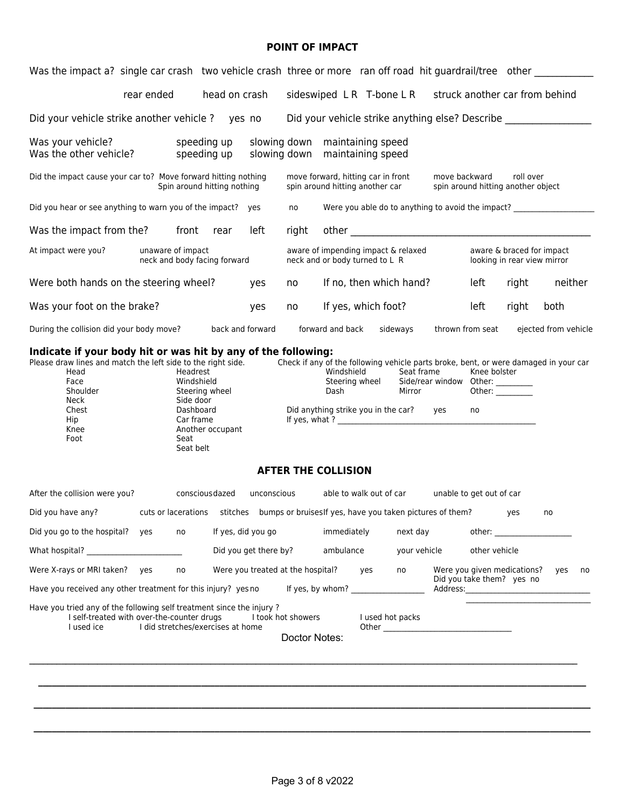#### **POINT OF IMPACT**

| Was the impact a? single car crash two vehicle crash three or more ran off road hit guardrail/tree other                         |                                                   |                                                                                                                          |                    |                                   |                                                                  |                                                                       |     |                                                                                                                                           |               |                          |                                                                                                                                                                                                                                |                      |    |
|----------------------------------------------------------------------------------------------------------------------------------|---------------------------------------------------|--------------------------------------------------------------------------------------------------------------------------|--------------------|-----------------------------------|------------------------------------------------------------------|-----------------------------------------------------------------------|-----|-------------------------------------------------------------------------------------------------------------------------------------------|---------------|--------------------------|--------------------------------------------------------------------------------------------------------------------------------------------------------------------------------------------------------------------------------|----------------------|----|
|                                                                                                                                  | rear ended                                        |                                                                                                                          | head on crash      |                                   |                                                                  |                                                                       |     | sideswiped LR T-bone LR struck another car from behind                                                                                    |               |                          |                                                                                                                                                                                                                                |                      |    |
| Did your vehicle strike another vehicle ? yes no                                                                                 |                                                   |                                                                                                                          |                    |                                   |                                                                  |                                                                       |     | Did your vehicle strike anything else? Describe                                                                                           |               |                          |                                                                                                                                                                                                                                |                      |    |
| Was your vehicle?<br>Was the other vehicle?                                                                                      |                                                   | speeding up<br>speeding up                                                                                               |                    |                                   | slowing down maintaining speed<br>slowing down maintaining speed |                                                                       |     |                                                                                                                                           |               |                          |                                                                                                                                                                                                                                |                      |    |
| Did the impact cause your car to? Move forward hitting nothing                                                                   |                                                   | Spin around hitting nothing                                                                                              |                    |                                   |                                                                  | move forward, hitting car in front<br>spin around hitting another car |     |                                                                                                                                           | move backward |                          | roll over<br>spin around hitting another object                                                                                                                                                                                |                      |    |
| Did you hear or see anything to warn you of the impact? yes                                                                      |                                                   |                                                                                                                          |                    |                                   | no                                                               |                                                                       |     | Were you able do to anything to avoid the impact? ______________________________                                                          |               |                          |                                                                                                                                                                                                                                |                      |    |
| Was the impact from the? front rear                                                                                              |                                                   |                                                                                                                          |                    | left                              | right                                                            |                                                                       |     |                                                                                                                                           |               |                          |                                                                                                                                                                                                                                |                      |    |
| At impact were you?                                                                                                              | unaware of impact<br>neck and body facing forward |                                                                                                                          |                    |                                   |                                                                  | neck and or body turned to L R                                        |     | aware of impending impact & relaxed                                                                                                       |               |                          | aware & braced for impact<br>looking in rear view mirror                                                                                                                                                                       |                      |    |
| Were both hands on the steering wheel?                                                                                           |                                                   |                                                                                                                          |                    | yes                               | no                                                               |                                                                       |     | If no, then which hand?                                                                                                                   |               | left                     | right                                                                                                                                                                                                                          | neither              |    |
| Was your foot on the brake?                                                                                                      |                                                   |                                                                                                                          |                    | yes                               | no                                                               | If yes, which foot?                                                   |     |                                                                                                                                           |               | left                     | right                                                                                                                                                                                                                          | both                 |    |
| During the collision did your body move?                                                                                         |                                                   |                                                                                                                          | back and forward   |                                   |                                                                  | forward and back                                                      |     | sideways                                                                                                                                  |               | thrown from seat         |                                                                                                                                                                                                                                | ejected from vehicle |    |
| Please draw lines and match the left side to the right side.<br>Head<br>Face<br>Shoulder<br>Neck<br>Chest<br>Hip<br>Knee<br>Foot |                                                   | Headrest<br>Windshield<br>Steering wheel<br>Side door<br>Dashboard<br>Car frame<br>Another occupant<br>Seat<br>Seat belt |                    |                                   | <b>AFTER THE COLLISION</b>                                       | Windshield<br>Steering wheel<br>Dash                                  |     | Check if any of the following vehicle parts broke, bent, or were damaged in your car<br>Seat frame<br>Did anything strike you in the car? | yes           | Knee bolster<br>no       |                                                                                                                                                                                                                                |                      |    |
|                                                                                                                                  |                                                   |                                                                                                                          |                    |                                   |                                                                  |                                                                       |     |                                                                                                                                           |               |                          |                                                                                                                                                                                                                                |                      |    |
| After the collision were you?                                                                                                    |                                                   | conscious dazed                                                                                                          |                    | unconscious                       |                                                                  |                                                                       |     | able to walk out of car                                                                                                                   |               | unable to get out of car |                                                                                                                                                                                                                                |                      |    |
| Did you have any?                                                                                                                | cuts or lacerations                               |                                                                                                                          |                    |                                   |                                                                  |                                                                       |     | stitches bumps or bruises If yes, have you taken pictures of them?                                                                        |               |                          | yes                                                                                                                                                                                                                            | no                   |    |
| Did you go to the hospital? yes                                                                                                  |                                                   | no                                                                                                                       | If yes, did you go | Did you get there by?             |                                                                  | immediately<br>ambulance                                              |     | next day<br>your vehicle                                                                                                                  |               | other vehicle            | other: and a state of the state of the state of the state of the state of the state of the state of the state of the state of the state of the state of the state of the state of the state of the state of the state of the s |                      |    |
| Were X-rays or MRI taken? yes                                                                                                    |                                                   | no                                                                                                                       |                    | Were you treated at the hospital? |                                                                  |                                                                       | yes | no                                                                                                                                        |               |                          | Were you given medications?                                                                                                                                                                                                    | yes                  | no |
| Have you received any other treatment for this injury? yes no                                                                    |                                                   |                                                                                                                          |                    |                                   |                                                                  |                                                                       |     |                                                                                                                                           |               |                          | Did you take them? yes no                                                                                                                                                                                                      |                      |    |
| Have you tried any of the following self treatment since the injury?<br>I self-treated with over-the-counter drugs<br>I used ice | I did stretches/exercises at home                 |                                                                                                                          |                    |                                   | I took hot showers<br>Doctor Notes:                              |                                                                       |     | I used hot packs                                                                                                                          |               |                          |                                                                                                                                                                                                                                |                      |    |
|                                                                                                                                  |                                                   |                                                                                                                          |                    |                                   |                                                                  |                                                                       |     |                                                                                                                                           |               |                          |                                                                                                                                                                                                                                |                      |    |
|                                                                                                                                  |                                                   |                                                                                                                          |                    |                                   |                                                                  |                                                                       |     |                                                                                                                                           |               |                          |                                                                                                                                                                                                                                |                      |    |
|                                                                                                                                  |                                                   |                                                                                                                          |                    |                                   |                                                                  |                                                                       |     |                                                                                                                                           |               |                          |                                                                                                                                                                                                                                |                      |    |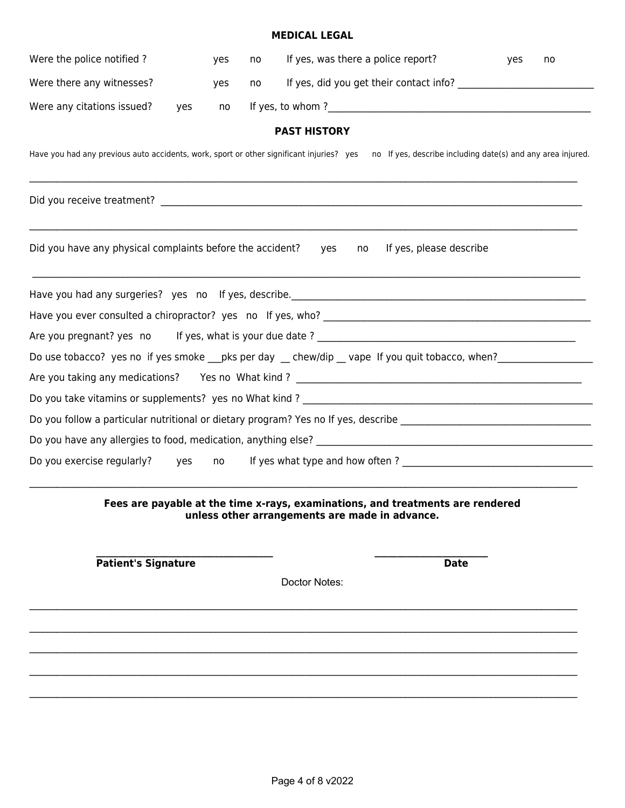#### **MEDICAL LEGAL**

| Were the police notified?                                                                | yes       | no | If yes, was there a police report?                                                                               | yes | no |
|------------------------------------------------------------------------------------------|-----------|----|------------------------------------------------------------------------------------------------------------------|-----|----|
| Were there any witnesses?                                                                | yes       | no |                                                                                                                  |     |    |
| Were any citations issued?                                                               | yes<br>no |    |                                                                                                                  |     |    |
|                                                                                          |           |    | <b>PAST HISTORY</b>                                                                                              |     |    |
| Have you had any previous auto accidents, work, sport or other significant injuries? yes |           |    | no If yes, describe including date(s) and any area injured.                                                      |     |    |
|                                                                                          |           |    |                                                                                                                  |     |    |
| Did you have any physical complaints before the accident?                                |           |    | If yes, please describe<br>yes<br>no                                                                             |     |    |
|                                                                                          |           |    |                                                                                                                  |     |    |
|                                                                                          |           |    |                                                                                                                  |     |    |
|                                                                                          |           |    |                                                                                                                  |     |    |
|                                                                                          |           |    | Do use tobacco? yes no if yes smoke __pks per day __ chew/dip __ vape If you quit tobacco, when? _____________   |     |    |
|                                                                                          |           |    |                                                                                                                  |     |    |
|                                                                                          |           |    |                                                                                                                  |     |    |
|                                                                                          |           |    | Do you follow a particular nutritional or dietary program? Yes no If yes, describe _____________________________ |     |    |
|                                                                                          |           |    |                                                                                                                  |     |    |
| Do you exercise regularly?                                                               | yes<br>no |    |                                                                                                                  |     |    |
|                                                                                          |           |    |                                                                                                                  |     |    |

**Fees are payable at the time x-rays, examinations, and treatments are rendered unless other arrangements are made in advance.**

Patient's Signature Date

Doctor Notes:

 $\mathcal{L}_\mathcal{L} = \{ \mathcal{L}_\mathcal{L} = \{ \mathcal{L}_\mathcal{L} = \{ \mathcal{L}_\mathcal{L} = \{ \mathcal{L}_\mathcal{L} = \{ \mathcal{L}_\mathcal{L} = \{ \mathcal{L}_\mathcal{L} = \{ \mathcal{L}_\mathcal{L} = \{ \mathcal{L}_\mathcal{L} = \{ \mathcal{L}_\mathcal{L} = \{ \mathcal{L}_\mathcal{L} = \{ \mathcal{L}_\mathcal{L} = \{ \mathcal{L}_\mathcal{L} = \{ \mathcal{L}_\mathcal{L} = \{ \mathcal{L}_\mathcal{$ 

 $\mathcal{L}_\mathcal{L} = \{ \mathcal{L}_\mathcal{L} = \{ \mathcal{L}_\mathcal{L} = \{ \mathcal{L}_\mathcal{L} = \{ \mathcal{L}_\mathcal{L} = \{ \mathcal{L}_\mathcal{L} = \{ \mathcal{L}_\mathcal{L} = \{ \mathcal{L}_\mathcal{L} = \{ \mathcal{L}_\mathcal{L} = \{ \mathcal{L}_\mathcal{L} = \{ \mathcal{L}_\mathcal{L} = \{ \mathcal{L}_\mathcal{L} = \{ \mathcal{L}_\mathcal{L} = \{ \mathcal{L}_\mathcal{L} = \{ \mathcal{L}_\mathcal{$ 

 $\mathcal{L} = \{ \mathcal{L} = \{ \mathcal{L} = \{ \mathcal{L} = \{ \mathcal{L} = \{ \mathcal{L} = \{ \mathcal{L} = \{ \mathcal{L} = \{ \mathcal{L} = \{ \mathcal{L} = \{ \mathcal{L} = \{ \mathcal{L} = \{ \mathcal{L} = \{ \mathcal{L} = \{ \mathcal{L} = \{ \mathcal{L} = \{ \mathcal{L} = \{ \mathcal{L} = \{ \mathcal{L} = \{ \mathcal{L} = \{ \mathcal{L} = \{ \mathcal{L} = \{ \mathcal{L} = \{ \mathcal{L} = \{ \mathcal{$ 

 $\mathcal{L}_\mathcal{L} = \{ \mathcal{L}_\mathcal{L} = \{ \mathcal{L}_\mathcal{L} = \{ \mathcal{L}_\mathcal{L} = \{ \mathcal{L}_\mathcal{L} = \{ \mathcal{L}_\mathcal{L} = \{ \mathcal{L}_\mathcal{L} = \{ \mathcal{L}_\mathcal{L} = \{ \mathcal{L}_\mathcal{L} = \{ \mathcal{L}_\mathcal{L} = \{ \mathcal{L}_\mathcal{L} = \{ \mathcal{L}_\mathcal{L} = \{ \mathcal{L}_\mathcal{L} = \{ \mathcal{L}_\mathcal{L} = \{ \mathcal{L}_\mathcal{$ 

 **\_\_\_\_\_\_\_\_\_\_\_\_\_\_\_\_\_\_\_\_\_\_\_\_\_\_\_\_\_\_\_\_\_\_\_\_\_\_\_ \_\_\_\_\_\_\_\_\_\_\_\_\_\_\_\_\_\_\_\_\_\_\_\_\_**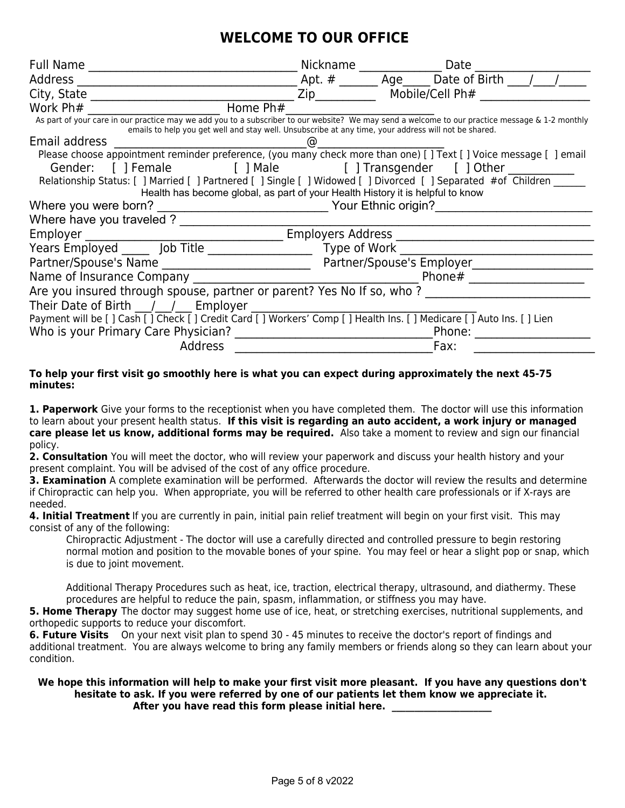# **WELCOME TO OUR OFFICE**

| <b>Full Name</b>                                                                                                                                                                                                                                        | Nickname                        |                     | Date            |  |  |  |
|---------------------------------------------------------------------------------------------------------------------------------------------------------------------------------------------------------------------------------------------------------|---------------------------------|---------------------|-----------------|--|--|--|
| <b>Address</b>                                                                                                                                                                                                                                          | Apt. $#$                        | Age                 | Date of Birth   |  |  |  |
| City, State                                                                                                                                                                                                                                             | Zip                             |                     | Mobile/Cell Ph# |  |  |  |
| Home Ph#<br>Work Ph#                                                                                                                                                                                                                                    |                                 |                     |                 |  |  |  |
| As part of your care in our practice may we add you to a subscriber to our website? We may send a welcome to our practice message & 1-2 monthly<br>emails to help you get well and stay well. Unsubscribe at any time, your address will not be shared. |                                 |                     |                 |  |  |  |
| Email address                                                                                                                                                                                                                                           | ര                               |                     |                 |  |  |  |
| Please choose appointment reminder preference, (you many check more than one) [] Text [] Voice message [ ] email                                                                                                                                        |                                 |                     |                 |  |  |  |
| [ ] Female<br>Gender:                                                                                                                                                                                                                                   | [] Male [] Transgender [] Other |                     |                 |  |  |  |
| Relationship Status: [ ] Married [ ] Partnered [ ] Single [ ] Widowed [ ] Divorced [ ] Separated #of Children                                                                                                                                           |                                 |                     |                 |  |  |  |
| Health has become global, as part of your Health History it is helpful to know                                                                                                                                                                          |                                 |                     |                 |  |  |  |
| Where you were born?                                                                                                                                                                                                                                    |                                 | Your Ethnic origin? |                 |  |  |  |
| Where have you traveled ?                                                                                                                                                                                                                               |                                 |                     |                 |  |  |  |
| Employer                                                                                                                                                                                                                                                | <b>Employers Address</b>        |                     |                 |  |  |  |
| Years Employed Job Title                                                                                                                                                                                                                                | Type of Work                    |                     |                 |  |  |  |
| Partner/Spouse's Name                                                                                                                                                                                                                                   | Partner/Spouse's Employer       |                     |                 |  |  |  |
| Name of Insurance Company                                                                                                                                                                                                                               |                                 |                     | Phone#          |  |  |  |
| Are you insured through spouse, partner or parent? Yes No If so, who?                                                                                                                                                                                   |                                 |                     |                 |  |  |  |
| Their Date of Birth $/$ / Employer                                                                                                                                                                                                                      |                                 |                     |                 |  |  |  |
| Payment will be [ ] Cash [ ] Check [ ] Credit Card [ ] Workers' Comp [ ] Health Ins. [ ] Medicare [ ] Auto Ins. [ ] Lien                                                                                                                                |                                 |                     |                 |  |  |  |
| Who is your Primary Care Physician?                                                                                                                                                                                                                     |                                 |                     | Phone:          |  |  |  |
| <b>Address</b><br>Fax:                                                                                                                                                                                                                                  |                                 |                     |                 |  |  |  |

#### **To help your first visit go smoothly here is what you can expect during approximately the next 45-75 minutes:**

**1. Paperwork** Give your forms to the receptionist when you have completed them. The doctor will use this information to learn about your present health status. **If this visit is regarding an auto accident, a work injury or managed care please let us know, additional forms may be required.** Also take a moment to review and sign our financial policy.

**2. Consultation** You will meet the doctor, who will review your paperwork and discuss your health history and your present complaint. You will be advised of the cost of any office procedure.

**3. Examination** A complete examination will be performed. Afterwards the doctor will review the results and determine if Chiropractic can help you. When appropriate, you will be referred to other health care professionals or if X-rays are needed.

**4. Initial Treatment** If you are currently in pain, initial pain relief treatment will begin on your first visit. This may consist of any of the following:

Chiropractic Adjustment - The doctor will use a carefully directed and controlled pressure to begin restoring normal motion and position to the movable bones of your spine. You may feel or hear a slight pop or snap, which is due to joint movement.

Additional Therapy Procedures such as heat, ice, traction, electrical therapy, ultrasound, and diathermy. These procedures are helpful to reduce the pain, spasm, inflammation, or stiffness you may have.

**5. Home Therapy** The doctor may suggest home use of ice, heat, or stretching exercises, nutritional supplements, and orthopedic supports to reduce your discomfort.

**6. Future Visits** On your next visit plan to spend 30 - 45 minutes to receive the doctor's report of findings and additional treatment. You are always welcome to bring any family members or friends along so they can learn about your condition.

#### **We hope this information will help to make your first visit more pleasant. If you have any questions don't hesitate to ask. If you were referred by one of our patients let them know we appreciate it.**  After you have read this form please initial here.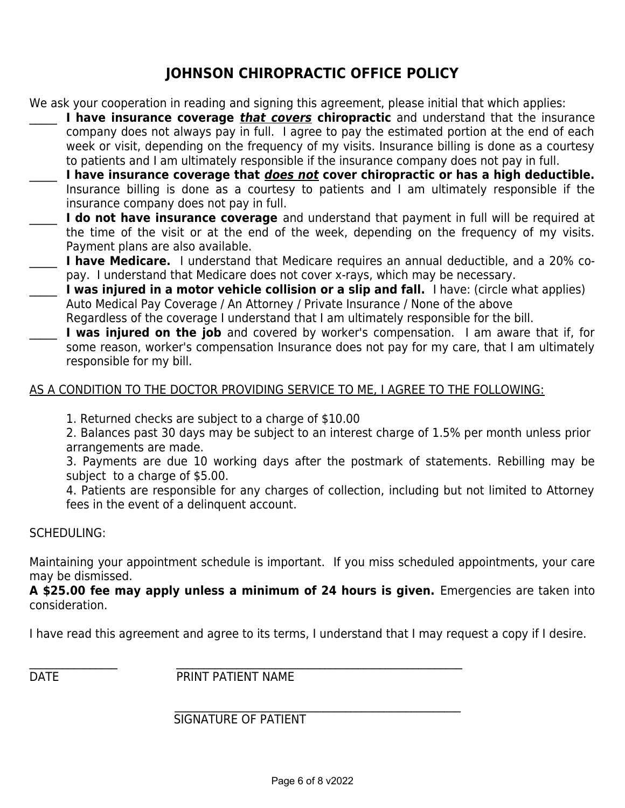## **JOHNSON CHIROPRACTIC OFFICE POLICY**

We ask your cooperation in reading and signing this agreement, please initial that which applies:

- **I have insurance coverage** *that covers* **chiropractic** and understand that the insurance company does not always pay in full. I agree to pay the estimated portion at the end of each week or visit, depending on the frequency of my visits. Insurance billing is done as a courtesy to patients and I am ultimately responsible if the insurance company does not pay in full.
- \_\_\_\_\_ **I have insurance coverage that does not cover chiropractic or has a high deductible.** Insurance billing is done as a courtesy to patients and I am ultimately responsible if the insurance company does not pay in full.
- I do not have insurance coverage and understand that payment in full will be required at the time of the visit or at the end of the week, depending on the frequency of my visits. Payment plans are also available.
- **I have Medicare.** I understand that Medicare requires an annual deductible, and a 20% copay. I understand that Medicare does not cover x-rays, which may be necessary.
- \_\_\_\_\_ **I was injured in a motor vehicle collision or a slip and fall.** I have: (circle what applies) Auto Medical Pay Coverage / An Attorney / Private Insurance / None of the above Regardless of the coverage I understand that I am ultimately responsible for the bill.
- **I was injured on the job** and covered by worker's compensation. I am aware that if, for some reason, worker's compensation Insurance does not pay for my care, that I am ultimately responsible for my bill.

#### AS A CONDITION TO THE DOCTOR PROVIDING SERVICE TO ME, I AGREE TO THE FOLLOWING:

1. Returned checks are subject to a charge of \$10.00

2. Balances past 30 days may be subject to an interest charge of 1.5% per month unless prior arrangements are made.

3. Payments are due 10 working days after the postmark of statements. Rebilling may be subject to a charge of \$5.00.

4. Patients are responsible for any charges of collection, including but not limited to Attorney fees in the event of a delinquent account.

#### SCHEDULING:

Maintaining your appointment schedule is important. If you miss scheduled appointments, your care may be dismissed.

**A \$25.00 fee may apply unless a minimum of 24 hours is given.** Emergencies are taken into consideration.

I have read this agreement and agree to its terms, I understand that I may request a copy if I desire.

\_\_\_\_\_\_\_\_\_\_\_\_\_\_\_\_ \_\_\_\_\_\_\_\_\_\_\_\_\_\_\_\_\_\_\_\_\_\_\_\_\_\_\_\_\_\_\_\_\_\_\_\_\_\_\_\_\_\_\_\_\_\_\_\_\_\_\_\_ DATE PRINT PATIENT NAME

#### $\mathcal{L}_\text{max} = \mathcal{L}_\text{max} = \mathcal{L}_\text{max} = \mathcal{L}_\text{max} = \mathcal{L}_\text{max} = \mathcal{L}_\text{max} = \mathcal{L}_\text{max} = \mathcal{L}_\text{max} = \mathcal{L}_\text{max} = \mathcal{L}_\text{max} = \mathcal{L}_\text{max} = \mathcal{L}_\text{max} = \mathcal{L}_\text{max} = \mathcal{L}_\text{max} = \mathcal{L}_\text{max} = \mathcal{L}_\text{max} = \mathcal{L}_\text{max} = \mathcal{L}_\text{max} = \mathcal{$ SIGNATURE OF PATIENT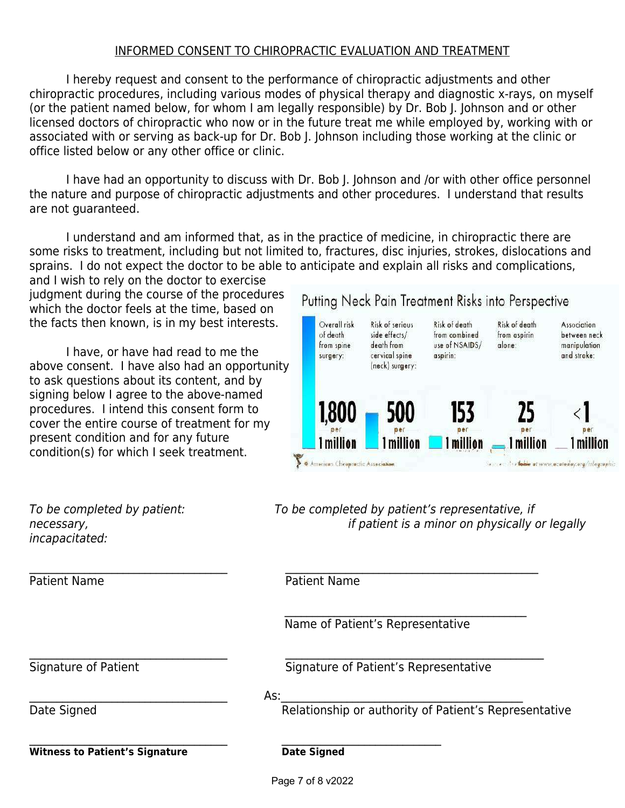#### INFORMED CONSENT TO CHIROPRACTIC EVALUATION AND TREATMENT

I hereby request and consent to the performance of chiropractic adjustments and other chiropractic procedures, including various modes of physical therapy and diagnostic x-rays, on myself (or the patient named below, for whom I am legally responsible) by Dr. Bob J. Johnson and or other licensed doctors of chiropractic who now or in the future treat me while employed by, working with or associated with or serving as back-up for Dr. Bob J. Johnson including those working at the clinic or office listed below or any other office or clinic.

I have had an opportunity to discuss with Dr. Bob J. Johnson and /or with other office personnel the nature and purpose of chiropractic adjustments and other procedures. I understand that results are not guaranteed.

I understand and am informed that, as in the practice of medicine, in chiropractic there are some risks to treatment, including but not limited to, fractures, disc injuries, strokes, dislocations and sprains. I do not expect the doctor to be able to anticipate and explain all risks and complications,

and I wish to rely on the doctor to exercise judgment during the course of the procedures which the doctor feels at the time, based on the facts then known, is in my best interests.

I have, or have had read to me the above consent. I have also had an opportunity to ask questions about its content, and by signing below I agree to the above-named procedures. I intend this consent form to cover the entire course of treatment for my present condition and for any future condition(s) for which I seek treatment.

#### Putting Neck Pain Treatment Risks into Perspective



incapacitated:

Patient Name

 $\mathcal{L}_\text{max}$  , and the contract of the contract of the contract of the contract of the contract of the contract of Witness to Patient's Signature **National State Signed** 

To be completed by patient: To be completed by patient's representative, if necessary, if patient is a minor on physically or legally

Name of Patient's Representative

Signature of Patient Signature of Patient's Representative

 $\mathsf{As:}\quad$ 

 $\_$ 

 $\mathcal{L}_\mathcal{L} = \{ \mathcal{L}_\mathcal{L} \mid \mathcal{L}_\mathcal{L} \in \mathcal{L}_\mathcal{L} \}$ 

 $\_$ 

Date Signed **Relationship or authority of Patient's Representative** 

Page 7 of 8 v2022